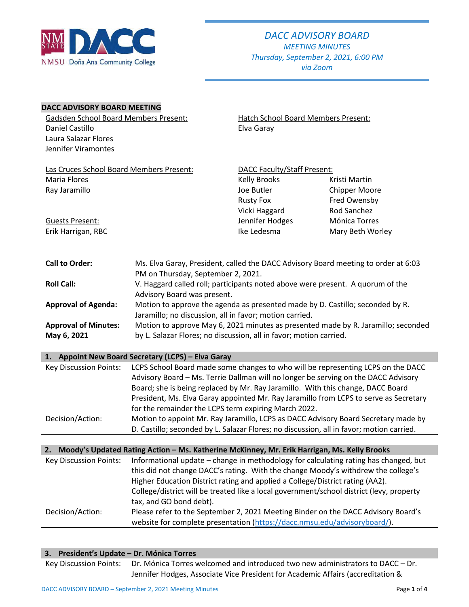

*via Zoom*

### **DACC ADVISORY BOARD MEETING**

| <b>Gadsden School Board Members Present:</b> |                                                                                                                                                                        | Hatch School Board Members Present: |                                                                                   |
|----------------------------------------------|------------------------------------------------------------------------------------------------------------------------------------------------------------------------|-------------------------------------|-----------------------------------------------------------------------------------|
| Daniel Castillo                              |                                                                                                                                                                        | Elva Garay                          |                                                                                   |
| Laura Salazar Flores                         |                                                                                                                                                                        |                                     |                                                                                   |
| Jennifer Viramontes                          |                                                                                                                                                                        |                                     |                                                                                   |
| Las Cruces School Board Members Present:     |                                                                                                                                                                        | <b>DACC Faculty/Staff Present:</b>  |                                                                                   |
| <b>Maria Flores</b>                          |                                                                                                                                                                        | <b>Kelly Brooks</b>                 | Kristi Martin                                                                     |
| Ray Jaramillo                                |                                                                                                                                                                        | Joe Butler                          | <b>Chipper Moore</b>                                                              |
|                                              |                                                                                                                                                                        | <b>Rusty Fox</b>                    | Fred Owensby                                                                      |
|                                              |                                                                                                                                                                        | Vicki Haggard                       | Rod Sanchez                                                                       |
| <b>Guests Present:</b>                       |                                                                                                                                                                        | Jennifer Hodges                     | Mónica Torres                                                                     |
| Erik Harrigan, RBC                           |                                                                                                                                                                        | Ike Ledesma                         | Mary Beth Worley                                                                  |
| <b>Call to Order:</b>                        | Ms. Elva Garay, President, called the DACC Advisory Board meeting to order at 6:03<br>PM on Thursday, September 2, 2021.                                               |                                     |                                                                                   |
| <b>Roll Call:</b>                            | V. Haggard called roll; participants noted above were present. A quorum of the<br>Advisory Board was present.                                                          |                                     |                                                                                   |
| <b>Approval of Agenda:</b>                   | Motion to approve the agenda as presented made by D. Castillo; seconded by R.<br>Jaramillo; no discussion, all in favor; motion carried.                               |                                     |                                                                                   |
| <b>Approval of Minutes:</b>                  |                                                                                                                                                                        |                                     | Motion to approve May 6, 2021 minutes as presented made by R. Jaramillo; seconded |
| May 6, 2021                                  | by L. Salazar Flores; no discussion, all in favor; motion carried.                                                                                                     |                                     |                                                                                   |
|                                              | 1. Appoint New Board Secretary (LCPS) - Elva Garay                                                                                                                     |                                     |                                                                                   |
| <b>Key Discussion Points:</b>                | LCPS School Board made some changes to who will be representing LCPS on the DACC<br>Advisory Board – Ms. Terrie Dallman will no longer be serving on the DACC Advisory |                                     |                                                                                   |

Advisory Board – Ms. Terrie Dallman will no longer be serving on the DACC Advisory Board; she is being replaced by Mr. Ray Jaramillo. With this change, DACC Board President, Ms. Elva Garay appointed Mr. Ray Jaramillo from LCPS to serve as Secretary for the remainder the LCPS term expiring March 2022. Decision/Action: Motion to appoint Mr. Ray Jaramillo, LCPS as DACC Advisory Board Secretary made by D. Castillo; seconded by L. Salazar Flores; no discussion, all in favor; motion carried.

|                               | 2. Moody's Updated Rating Action - Ms. Katherine McKinney, Mr. Erik Harrigan, Ms. Kelly Brooks                                                                                                                                                             |
|-------------------------------|------------------------------------------------------------------------------------------------------------------------------------------------------------------------------------------------------------------------------------------------------------|
| <b>Key Discussion Points:</b> | Informational update - change in methodology for calculating rating has changed, but<br>this did not change DACC's rating. With the change Moody's withdrew the college's<br>Higher Education District rating and applied a College/District rating (AA2). |
|                               | College/district will be treated like a local government/school district (levy, property<br>tax, and GO bond debt).                                                                                                                                        |
| Decision/Action:              | Please refer to the September 2, 2021 Meeting Binder on the DACC Advisory Board's<br>website for complete presentation (https://dacc.nmsu.edu/advisoryboard/).                                                                                             |

| 3. President's Update - Dr. Mónica Torres |                                                                                                       |
|-------------------------------------------|-------------------------------------------------------------------------------------------------------|
|                                           | Key Discussion Points: Dr. Mónica Torres welcomed and introduced two new administrators to DACC - Dr. |
|                                           | Jennifer Hodges, Associate Vice President for Academic Affairs (accreditation &                       |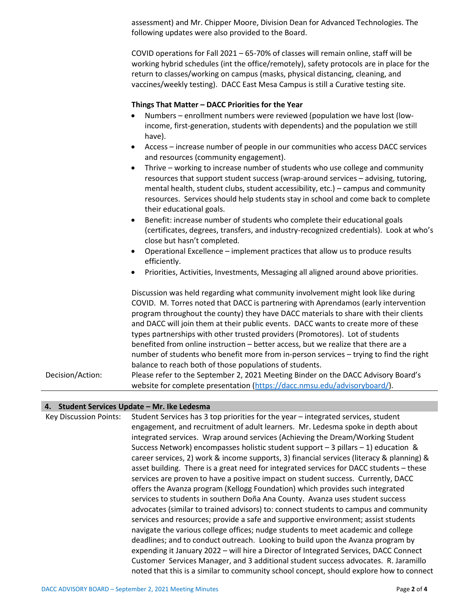assessment) and Mr. Chipper Moore, Division Dean for Advanced Technologies. The following updates were also provided to the Board.

COVID operations for Fall 2021 – 65-70% of classes will remain online, staff will be working hybrid schedules (int the office/remotely), safety protocols are in place for the return to classes/working on campus (masks, physical distancing, cleaning, and vaccines/weekly testing). DACC East Mesa Campus is still a Curative testing site.

#### **Things That Matter – DACC Priorities for the Year**

- Numbers enrollment numbers were reviewed (population we have lost (lowincome, first-generation, students with dependents) and the population we still have).
- Access increase number of people in our communities who access DACC services and resources (community engagement).
- Thrive working to increase number of students who use college and community resources that support student success (wrap-around services – advising, tutoring, mental health, student clubs, student accessibility, etc.) – campus and community resources. Services should help students stay in school and come back to complete their educational goals.
- Benefit: increase number of students who complete their educational goals (certificates, degrees, transfers, and industry-recognized credentials). Look at who's close but hasn't completed.
- Operational Excellence implement practices that allow us to produce results efficiently.
- Priorities, Activities, Investments, Messaging all aligned around above priorities.

Discussion was held regarding what community involvement might look like during COVID. M. Torres noted that DACC is partnering with Aprendamos (early intervention program throughout the county) they have DACC materials to share with their clients and DACC will join them at their public events. DACC wants to create more of these types partnerships with other trusted providers (Promotores). Lot of students benefited from online instruction – better access, but we realize that there are a number of students who benefit more from in-person services – trying to find the right balance to reach both of those populations of students. Decision/Action: Please refer to the September 2, 2021 Meeting Binder on the DACC Advisory Board's website for complete presentation [\(https://dacc.nmsu.edu/advisoryboard/\)](https://dacc.nmsu.edu/advisoryboard/).

### **4. Student Services Update – Mr. Ike Ledesma**

Key Discussion Points: Student Services has 3 top priorities for the year – integrated services, student engagement, and recruitment of adult learners. Mr. Ledesma spoke in depth about integrated services. Wrap around services (Achieving the Dream/Working Student Success Network) encompasses holistic student support – 3 pillars – 1) education & career services, 2) work & income supports, 3) financial services (literacy & planning) & asset building. There is a great need for integrated services for DACC students – these services are proven to have a positive impact on student success. Currently, DACC offers the Avanza program (Kellogg Foundation) which provides such integrated services to students in southern Doña Ana County. Avanza uses student success advocates (similar to trained advisors) to: connect students to campus and community services and resources; provide a safe and supportive environment; assist students navigate the various college offices; nudge students to meet academic and college deadlines; and to conduct outreach. Looking to build upon the Avanza program by expending it January 2022 – will hire a Director of Integrated Services, DACC Connect Customer Services Manager, and 3 additional student success advocates. R. Jaramillo noted that this is a similar to community school concept, should explore how to connect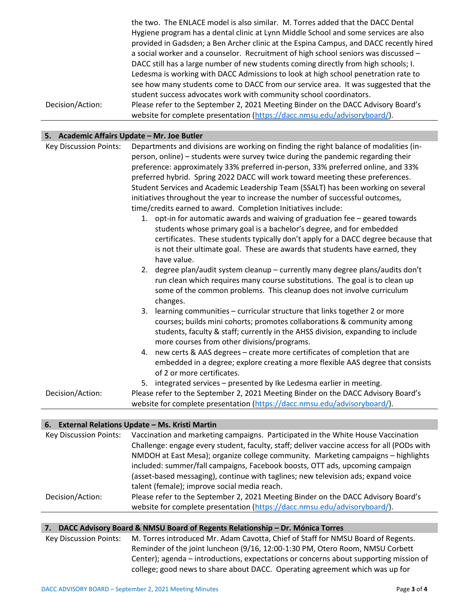the two. The ENLACE model is also similar. M. Torres added that the DACC Dental Hygiene program has a dental clinic at Lynn Middle School and some services are also provided in Gadsden; a Ben Archer clinic at the Espina Campus, and DACC recently hired a social worker and a counselor. Recruitment of high school seniors was discussed – DACC still has a large number of new students coming directly from high schools; I. Ledesma is working with DACC Admissions to look at high school penetration rate to see how many students come to DACC from our service area. It was suggested that the student success advocates work with community school coordinators. Decision/Action: Please refer to the September 2, 2021 Meeting Binder on the DACC Advisory Board's website for complete presentation [\(https://dacc.nmsu.edu/advisoryboard/\)](https://dacc.nmsu.edu/advisoryboard/).

### **5. Academic Affairs Update – Mr. Joe Butler**

| <b>Key Discussion Points:</b> | Departments and divisions are working on finding the right balance of modalities (in-<br>person, online) – students were survey twice during the pandemic regarding their<br>preference: approximately 33% preferred in-person, 33% preferred online, and 33% |
|-------------------------------|---------------------------------------------------------------------------------------------------------------------------------------------------------------------------------------------------------------------------------------------------------------|
|                               | preferred hybrid. Spring 2022 DACC will work toward meeting these preferences.                                                                                                                                                                                |
|                               | Student Services and Academic Leadership Team (SSALT) has been working on several                                                                                                                                                                             |
|                               | initiatives throughout the year to increase the number of successful outcomes,                                                                                                                                                                                |
|                               | time/credits earned to award. Completion Initiatives include:                                                                                                                                                                                                 |
|                               | 1. opt-in for automatic awards and waiving of graduation fee - geared towards                                                                                                                                                                                 |
|                               | students whose primary goal is a bachelor's degree, and for embedded                                                                                                                                                                                          |
|                               | certificates. These students typically don't apply for a DACC degree because that                                                                                                                                                                             |
|                               | is not their ultimate goal. These are awards that students have earned, they<br>have value.                                                                                                                                                                   |
|                               | 2. degree plan/audit system cleanup - currently many degree plans/audits don't<br>run clean which requires many course substitutions. The goal is to clean up<br>some of the common problems. This cleanup does not involve curriculum<br>changes.            |
|                               | 3. learning communities - curricular structure that links together 2 or more                                                                                                                                                                                  |
|                               | courses; builds mini cohorts; promotes collaborations & community among                                                                                                                                                                                       |
|                               | students, faculty & staff; currently in the AHSS division, expanding to include                                                                                                                                                                               |
|                               | more courses from other divisions/programs.                                                                                                                                                                                                                   |
|                               | 4. new certs & AAS degrees - create more certificates of completion that are<br>embedded in a degree; explore creating a more flexible AAS degree that consists<br>of 2 or more certificates.                                                                 |
|                               |                                                                                                                                                                                                                                                               |
|                               | 5. integrated services - presented by Ike Ledesma earlier in meeting.                                                                                                                                                                                         |
| Decision/Action:              | Please refer to the September 2, 2021 Meeting Binder on the DACC Advisory Board's<br>website for complete presentation (https://dacc.nmsu.edu/advisoryboard/).                                                                                                |

### **6. External Relations Update – Ms. Kristi Martin**

| <b>Key Discussion Points:</b> | Vaccination and marketing campaigns. Participated in the White House Vaccination           |
|-------------------------------|--------------------------------------------------------------------------------------------|
|                               | Challenge: engage every student, faculty, staff; deliver vaccine access for all (PODs with |
|                               | NMDOH at East Mesa); organize college community. Marketing campaigns - highlights          |
|                               | included: summer/fall campaigns, Facebook boosts, OTT ads, upcoming campaign               |
|                               | (asset-based messaging), continue with taglines; new television ads; expand voice          |
|                               | talent (female); improve social media reach.                                               |
| Decision/Action:              | Please refer to the September 2, 2021 Meeting Binder on the DACC Advisory Board's          |
|                               | website for complete presentation (https://dacc.nmsu.edu/advisoryboard/).                  |

### **7. DACC Advisory Board & NMSU Board of Regents Relationship – Dr. Mónica Torres**

Key Discussion Points: M. Torres introduced Mr. Adam Cavotta, Chief of Staff for NMSU Board of Regents. Reminder of the joint luncheon (9/16, 12:00-1:30 PM, Otero Room, NMSU Corbett Center); agenda – introductions, expectations or concerns about supporting mission of college; good news to share about DACC. Operating agreement which was up for